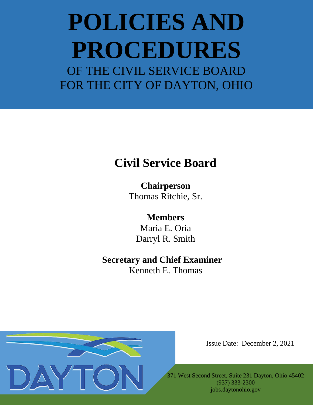## **Civil Service Board**

**Chairperson** Thomas Ritchie, Sr.

**Members** Maria E. Oria Darryl R. Smith

## **Secretary and Chief Examiner** Kenneth E. Thomas



Issue Date: December 2, 2021

371 West Second Street, Suite 231 Dayton, Ohio 45402 (937) 333-2300 jobs.daytonohio.gov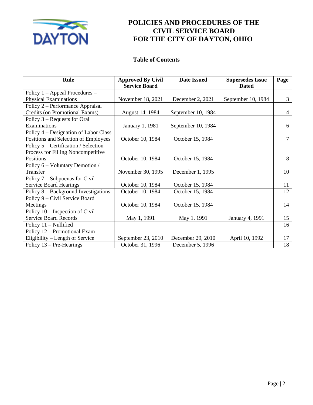

### **Table of Contents**

| <b>Rule</b>                           | <b>Approved By Civil</b><br><b>Service Board</b> | <b>Date Issued</b> | <b>Supersedes Issue</b><br><b>Dated</b> | Page           |
|---------------------------------------|--------------------------------------------------|--------------------|-----------------------------------------|----------------|
| Policy $1 -$ Appeal Procedures $-$    |                                                  |                    |                                         |                |
| <b>Physical Examinations</b>          | November 18, 2021                                | December 2, 2021   | September 10, 1984                      | 3              |
| Policy 2 – Performance Appraisal      |                                                  |                    |                                         |                |
| Credits (on Promotional Exams)        | August 14, 1984                                  | September 10, 1984 |                                         | $\overline{4}$ |
| Policy 3 - Requests for Oral          |                                                  |                    |                                         |                |
| Examinations                          | January 1, 1981                                  | September 10, 1984 |                                         | 6              |
| Policy 4 – Designation of Labor Class |                                                  |                    |                                         |                |
| Positions and Selection of Employees  | October 10, 1984                                 | October 15, 1984   |                                         | $\overline{7}$ |
| Policy 5 – Certification / Selection  |                                                  |                    |                                         |                |
| Process for Filling Noncompetitive    |                                                  |                    |                                         |                |
| Positions                             | October 10, 1984                                 | October 15, 1984   |                                         | 8              |
| Policy 6 – Voluntary Demotion /       |                                                  |                    |                                         |                |
| Transfer                              | November 30, 1995                                | December 1, 1995   |                                         | 10             |
| Policy $7 -$ Subpoenas for Civil      |                                                  |                    |                                         |                |
| <b>Service Board Hearings</b>         | October 10, 1984                                 | October 15, 1984   |                                         | 11             |
| Policy 8 - Background Investigations  | October 10, 1984                                 | October 15, 1984   |                                         | 12             |
| Policy 9 – Civil Service Board        |                                                  |                    |                                         |                |
| Meetings                              | October 10, 1984                                 | October 15, 1984   |                                         | 14             |
| Policy $10$ – Inspection of Civil     |                                                  |                    |                                         |                |
| <b>Service Board Records</b>          | May 1, 1991                                      | May 1, 1991        | <b>January 4, 1991</b>                  | 15             |
| Policy $11 -$ Nullified               |                                                  |                    |                                         | 16             |
| Policy 12 - Promotional Exam          |                                                  |                    |                                         |                |
| Eligibility – Length of Service       | September 23, 2010                               | December 29, 2010  | April 10, 1992                          | 17             |
| Policy 13 – Pre-Hearings              | October 31, 1996                                 | December 5, 1996   |                                         | 18             |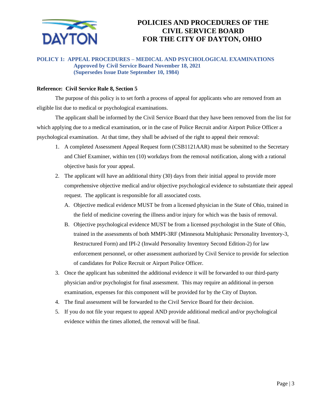

#### **POLICY 1: APPEAL PROCEDURES – MEDICAL AND PSYCHOLOGICAL EXAMINATIONS Approved by Civil Service Board November 18, 2021 (Supersedes Issue Date September 10, 1984)**

#### **Reference: Civil Service Rule 8, Section 5**

The purpose of this policy is to set forth a process of appeal for applicants who are removed from an eligible list due to medical or psychological examinations.

The applicant shall be informed by the Civil Service Board that they have been removed from the list for which applying due to a medical examination, or in the case of Police Recruit and/or Airport Police Officer a psychological examination. At that time, they shall be advised of the right to appeal their removal:

- 1. A completed Assessment Appeal Request form (CSB1121AAR) must be submitted to the Secretary and Chief Examiner, within ten (10) workdays from the removal notification, along with a rational objective basis for your appeal.
- 2. The applicant will have an additional thirty (30) days from their initial appeal to provide more comprehensive objective medical and/or objective psychological evidence to substantiate their appeal request. The applicant is responsible for all associated costs.
	- A. Objective medical evidence MUST be from a licensed physician in the State of Ohio, trained in the field of medicine covering the illness and/or injury for which was the basis of removal.
	- B. Objective psychological evidence MUST be from a licensed psychologist in the State of Ohio, trained in the assessments of both MMPI-3RF (Minnesota Multiphasic Personality Inventory-3, Restructured Form) and IPI-2 (Inwald Personality Inventory Second Edition-2) for law enforcement personnel, or other assessment authorized by Civil Service to provide for selection of candidates for Police Recruit or Airport Police Officer.
- 3. Once the applicant has submitted the additional evidence it will be forwarded to our third-party physician and/or psychologist for final assessment. This may require an additional in-person examination, expenses for this component will be provided for by the City of Dayton.
- 4. The final assessment will be forwarded to the Civil Service Board for their decision.
- 5. If you do not file your request to appeal AND provide additional medical and/or psychological evidence within the times allotted, the removal will be final.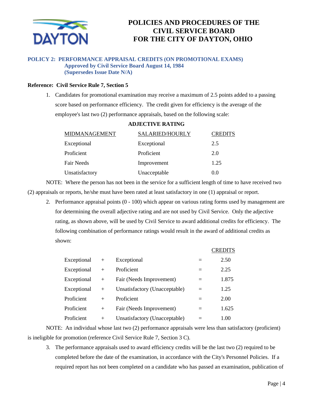

#### **POLICY 2: PERFORMANCE APPRAISAL CREDITS (ON PROMOTIONAL EXAMS) Approved by Civil Service Board August 14, 1984 (Supersedes Issue Date N/A)**

#### **Reference: Civil Service Rule 7, Section 5**

1. Candidates for promotional examination may receive a maximum of 2.5 points added to a passing score based on performance efficiency. The credit given for efficiency is the average of the employee's last two (2) performance appraisals, based on the following scale:

| MIDMANAGEMENT  | <b>SALARIED/HOURLY</b> | <b>CREDITS</b> |
|----------------|------------------------|----------------|
| Exceptional    | Exceptional            | 2.5            |
| Proficient     | Proficient             | 2.0            |
| Fair Needs     | Improvement            | 1.25           |
| Unsatisfactory | Unacceptable           | 0.0            |

NOTE: Where the person has not been in the service for a sufficient length of time to have received two (2) appraisals or reports, he/she must have been rated at least satisfactory in one (1) appraisal or report.

2. Performance appraisal points (0 - 100) which appear on various rating forms used by management are for determining the overall adjective rating and are not used by Civil Service. Only the adjective rating, as shown above, will be used by Civil Service to award additional credits for efficiency. The following combination of performance ratings would result in the award of additional credits as shown:

 $CDET^{\text{IT}}$ 

|             |        |                               |     | <b>CITTLE</b> |
|-------------|--------|-------------------------------|-----|---------------|
| Exceptional | $+$    | Exceptional                   |     | 2.50          |
| Exceptional | $+$    | Proficient                    |     | 2.25          |
| Exceptional | $+$    | Fair (Needs Improvement)      | $=$ | 1.875         |
| Exceptional | $+$    | Unsatisfactory (Unacceptable) | $=$ | 1.25          |
| Proficient  | $^{+}$ | Proficient                    | $=$ | 2.00          |
| Proficient  | $+$    | Fair (Needs Improvement)      | $=$ | 1.625         |
| Proficient  | $^{+}$ | Unsatisfactory (Unacceptable) |     | 1.00          |

NOTE: An individual whose last two (2) performance appraisals were less than satisfactory (proficient) is ineligible for promotion (reference Civil Service Rule 7, Section 3 C).

3. The performance appraisals used to award efficiency credits will be the last two (2) required to be completed before the date of the examination, in accordance with the City's Personnel Policies. If a required report has not been completed on a candidate who has passed an examination, publication of

#### **ADJECTIVE RATING**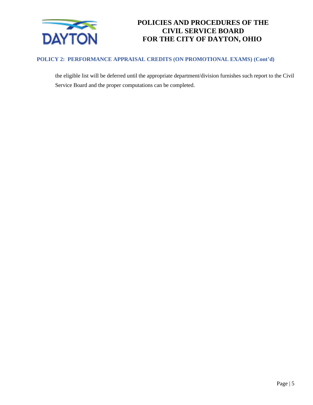

#### **POLICY 2: PERFORMANCE APPRAISAL CREDITS (ON PROMOTIONAL EXAMS) (Cont'd)**

the eligible list will be deferred until the appropriate department/division furnishes such report to the Civil Service Board and the proper computations can be completed.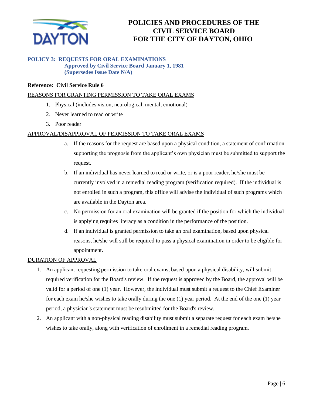

#### **POLICY 3: REQUESTS FOR ORAL EXAMINATIONS Approved by Civil Service Board January 1, 1981 (Supersedes Issue Date N/A)**

#### **Reference: Civil Service Rule 6**

#### REASONS FOR GRANTING PERMISSION TO TAKE ORAL EXAMS

- 1. Physical (includes vision, neurological, mental, emotional)
- 2. Never learned to read or write
- 3. Poor reader

#### APPROVAL/DISAPPROVAL OF PERMISSION TO TAKE ORAL EXAMS

- a. If the reasons for the request are based upon a physical condition, a statement of confirmation supporting the prognosis from the applicant's own physician must be submitted to support the request.
- b. If an individual has never learned to read or write, or is a poor reader, he/she must be currently involved in a remedial reading program (verification required). If the individual is not enrolled in such a program, this office will advise the individual of such programs which are available in the Dayton area.
- c. No permission for an oral examination will be granted if the position for which the individual is applying requires literacy as a condition in the performance of the position.
- d. If an individual is granted permission to take an oral examination, based upon physical reasons, he/she will still be required to pass a physical examination in order to be eligible for appointment.

#### DURATION OF APPROVAL

- 1. An applicant requesting permission to take oral exams, based upon a physical disability, will submit required verification for the Board's review. If the request is approved by the Board, the approval will be valid for a period of one (1) year. However, the individual must submit a request to the Chief Examiner for each exam he/she wishes to take orally during the one (1) year period. At the end of the one (1) year period, a physician's statement must be resubmitted for the Board's review.
- 2. An applicant with a non-physical reading disability must submit a separate request for each exam he/she wishes to take orally, along with verification of enrollment in a remedial reading program.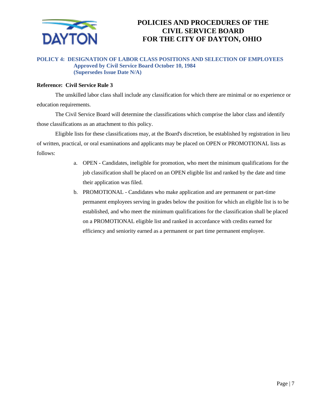

#### **POLICY 4: DESIGNATION OF LABOR CLASS POSITIONS AND SELECTION OF EMPLOYEES Approved by Civil Service Board October 10, 1984 (Supersedes Issue Date N/A)**

#### **Reference: Civil Service Rule 3**

The unskilled labor class shall include any classification for which there are minimal or no experience or education requirements.

The Civil Service Board will determine the classifications which comprise the labor class and identify those classifications as an attachment to this policy.

Eligible lists for these classifications may, at the Board's discretion, be established by registration in lieu of written, practical, or oral examinations and applicants may be placed on OPEN or PROMOTIONAL lists as follows:

- a. OPEN Candidates, ineligible for promotion, who meet the minimum qualifications for the job classification shall be placed on an OPEN eligible list and ranked by the date and time their application was filed.
- b. PROMOTIONAL Candidates who make application and are permanent or part-time permanent employees serving in grades below the position for which an eligible list is to be established, and who meet the minimum qualifications for the classification shall be placed on a PROMOTIONAL eligible list and ranked in accordance with credits earned for efficiency and seniority earned as a permanent or part time permanent employee.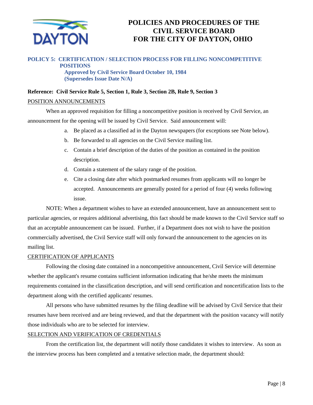

#### **POLICY 5: CERTIFICATION / SELECTION PROCESS FOR FILLING NONCOMPETITIVE POSITIONS**

**Approved by Civil Service Board October 10, 1984 (Supersedes Issue Date N/A)**

## **Reference: Civil Service Rule 5, Section 1, Rule 3, Section 2B, Rule 9, Section 3**

#### POSITION ANNOUNCEMENTS

When an approved requisition for filling a noncompetitive position is received by Civil Service, an announcement for the opening will be issued by Civil Service. Said announcement will:

- a. Be placed as a classified ad in the Dayton newspapers (for exceptions see Note below).
- b. Be forwarded to all agencies on the Civil Service mailing list.
- c. Contain a brief description of the duties of the position as contained in the position description.
- d. Contain a statement of the salary range of the position.
- e. Cite a closing date after which postmarked resumes from applicants will no longer be accepted. Announcements are generally posted for a period of four (4) weeks following issue.

NOTE: When a department wishes to have an extended announcement, have an announcement sent to particular agencies, or requires additional advertising, this fact should be made known to the Civil Service staff so that an acceptable announcement can be issued. Further, if a Department does not wish to have the position commercially advertised, the Civil Service staff will only forward the announcement to the agencies on its mailing list.

#### CERTIFICATION OF APPLICANTS

Following the closing date contained in a noncompetitive announcement, Civil Service will determine whether the applicant's resume contains sufficient information indicating that he/she meets the minimum requirements contained in the classification description, and will send certification and noncertification lists to the department along with the certified applicants' resumes.

All persons who have submitted resumes by the filing deadline will be advised by Civil Service that their resumes have been received and are being reviewed, and that the department with the position vacancy will notify those individuals who are to be selected for interview.

#### SELECTION AND VERIFICATION OF CREDENTIALS

From the certification list, the department will notify those candidates it wishes to interview. As soon as the interview process has been completed and a tentative selection made, the department should: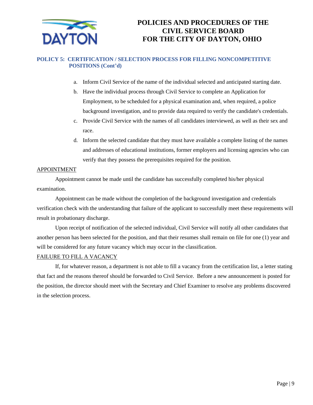

#### **POLICY 5: CERTIFICATION / SELECTION PROCESS FOR FILLING NONCOMPETITIVE POSITIONS (Cont'd)**

- a. Inform Civil Service of the name of the individual selected and anticipated starting date.
- b. Have the individual process through Civil Service to complete an Application for Employment, to be scheduled for a physical examination and, when required, a police background investigation, and to provide data required to verify the candidate's credentials.
- c. Provide Civil Service with the names of all candidates interviewed, as well as their sex and race.
- d. Inform the selected candidate that they must have available a complete listing of the names and addresses of educational institutions, former employers and licensing agencies who can verify that they possess the prerequisites required for the position.

#### APPOINTMENT

Appointment cannot be made until the candidate has successfully completed his/her physical examination.

Appointment can be made without the completion of the background investigation and credentials verification check with the understanding that failure of the applicant to successfully meet these requirements will result in probationary discharge.

Upon receipt of notification of the selected individual, Civil Service will notify all other candidates that another person has been selected for the position, and that their resumes shall remain on file for one (1) year and will be considered for any future vacancy which may occur in the classification.

#### FAILURE TO FILL A VACANCY

If, for whatever reason, a department is not able to fill a vacancy from the certification list, a letter stating that fact and the reasons thereof should be forwarded to Civil Service. Before a new announcement is posted for the position, the director should meet with the Secretary and Chief Examiner to resolve any problems discovered in the selection process.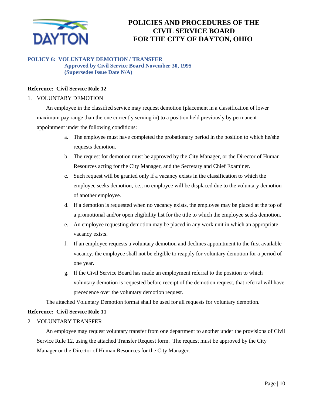

#### **POLICY 6: VOLUNTARY DEMOTION / TRANSFER Approved by Civil Service Board November 30, 1995 (Supersedes Issue Date N/A)**

#### **Reference: Civil Service Rule 12**

#### 1. VOLUNTARY DEMOTION

An employee in the classified service may request demotion (placement in a classification of lower maximum pay range than the one currently serving in) to a position held previously by permanent appointment under the following conditions:

- a. The employee must have completed the probationary period in the position to which he/she requests demotion.
- b. The request for demotion must be approved by the City Manager, or the Director of Human Resources acting for the City Manager, and the Secretary and Chief Examiner.
- c. Such request will be granted only if a vacancy exists in the classification to which the employee seeks demotion, i.e., no employee will be displaced due to the voluntary demotion of another employee.
- d. If a demotion is requested when no vacancy exists, the employee may be placed at the top of a promotional and/or open eligibility list for the title to which the employee seeks demotion.
- e. An employee requesting demotion may be placed in any work unit in which an appropriate vacancy exists.
- f. If an employee requests a voluntary demotion and declines appointment to the first available vacancy, the employee shall not be eligible to reapply for voluntary demotion for a period of one year.
- g. If the Civil Service Board has made an employment referral to the position to which voluntary demotion is requested before receipt of the demotion request, that referral will have precedence over the voluntary demotion request.

The attached Voluntary Demotion format shall be used for all requests for voluntary demotion.

#### **Reference: Civil Service Rule 11**

#### 2. VOLUNTARY TRANSFER

An employee may request voluntary transfer from one department to another under the provisions of Civil Service Rule 12, using the attached Transfer Request form. The request must be approved by the City Manager or the Director of Human Resources for the City Manager.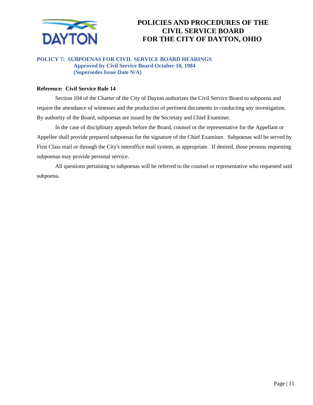

#### **POLICY 7: SUBPOENAS FOR CIVIL SERVICE BOARD HEARINGS Approved by Civil Service Board October 10, 1984 (Supersedes Issue Date N/A)**

#### **Reference: Civil Service Rule 14**

Section 104 of the Charter of the City of Dayton authorizes the Civil Service Board to subpoena and require the attendance of witnesses and the production of pertinent documents in conducting any investigation. By authority of the Board, subpoenas are issued by the Secretary and Chief Examiner.

In the case of disciplinary appeals before the Board, counsel or the representative for the Appellant or Appellee shall provide prepared subpoenas for the signature of the Chief Examiner. Subpoenas will be served by First Class mail or through the City's interoffice mail system, as appropriate. If desired, those persons requesting subpoenas may provide personal service.

All questions pertaining to subpoenas will be referred to the counsel or representative who requested said subpoena.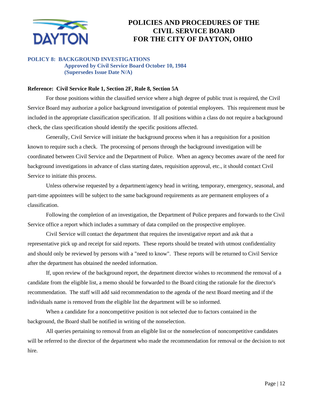

#### **POLICY 8: BACKGROUND INVESTIGATIONS Approved by Civil Service Board October 10, 1984 (Supersedes Issue Date N/A)**

#### **Reference: Civil Service Rule 1, Section 2F, Rule 8, Section 5A**

For those positions within the classified service where a high degree of public trust is required, the Civil Service Board may authorize a police background investigation of potential employees. This requirement must be included in the appropriate classification specification. If all positions within a class do not require a background check, the class specification should identify the specific positions affected.

Generally, Civil Service will initiate the background process when it has a requisition for a position known to require such a check. The processing of persons through the background investigation will be coordinated between Civil Service and the Department of Police. When an agency becomes aware of the need for background investigations in advance of class starting dates, requisition approval, etc., it should contact Civil Service to initiate this process.

Unless otherwise requested by a department/agency head in writing, temporary, emergency, seasonal, and part-time appointees will be subject to the same background requirements as are permanent employees of a classification.

Following the completion of an investigation, the Department of Police prepares and forwards to the Civil Service office a report which includes a summary of data compiled on the prospective employee.

Civil Service will contact the department that requires the investigative report and ask that a representative pick up and receipt for said reports. These reports should be treated with utmost confidentiality and should only be reviewed by persons with a "need to know". These reports will be returned to Civil Service after the department has obtained the needed information.

If, upon review of the background report, the department director wishes to recommend the removal of a candidate from the eligible list, a memo should be forwarded to the Board citing the rationale for the director's recommendation. The staff will add said recommendation to the agenda of the next Board meeting and if the individuals name is removed from the eligible list the department will be so informed.

When a candidate for a noncompetitive position is not selected due to factors contained in the background, the Board shall be notified in writing of the nonselection.

All queries pertaining to removal from an eligible list or the nonselection of noncompetitive candidates will be referred to the director of the department who made the recommendation for removal or the decision to not hire.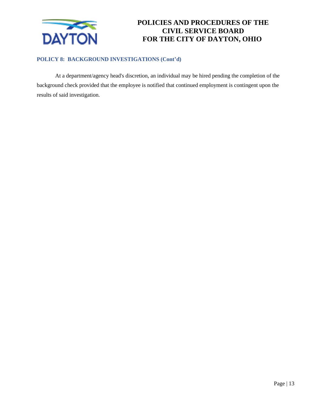

#### **POLICY 8: BACKGROUND INVESTIGATIONS (Cont'd)**

At a department/agency head's discretion, an individual may be hired pending the completion of the background check provided that the employee is notified that continued employment is contingent upon the results of said investigation.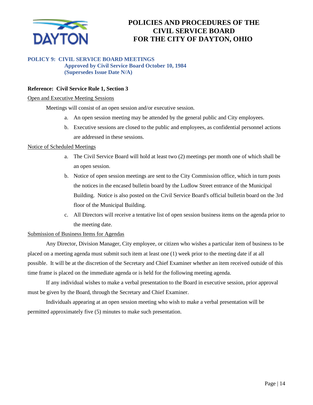

#### **POLICY 9: CIVIL SERVICE BOARD MEETINGS Approved by Civil Service Board October 10, 1984**

**(Supersedes Issue Date N/A)**

#### **Reference: Civil Service Rule 1, Section 3**

#### Open and Executive Meeting Sessions

Meetings will consist of an open session and/or executive session.

- a. An open session meeting may be attended by the general public and City employees.
- b. Executive sessions are closed to the public and employees, as confidential personnel actions are addressed in these sessions.

#### Notice of Scheduled Meetings

- a. The Civil Service Board will hold at least two (2) meetings per month one of which shall be an open session.
- b. Notice of open session meetings are sent to the City Commission office, which in turn posts the notices in the encased bulletin board by the Ludlow Street entrance of the Municipal Building. Notice is also posted on the Civil Service Board's official bulletin board on the 3rd floor of the Municipal Building.
- c. All Directors will receive a tentative list of open session business items on the agenda prior to the meeting date.

#### Submission of Business Items for Agendas

Any Director, Division Manager, City employee, or citizen who wishes a particular item of business to be placed on a meeting agenda must submit such item at least one (1) week prior to the meeting date if at all possible. It will be at the discretion of the Secretary and Chief Examiner whether an item received outside of this time frame is placed on the immediate agenda or is held for the following meeting agenda.

If any individual wishes to make a verbal presentation to the Board in executive session, prior approval must be given by the Board, through the Secretary and Chief Examiner.

Individuals appearing at an open session meeting who wish to make a verbal presentation will be permitted approximately five (5) minutes to make such presentation.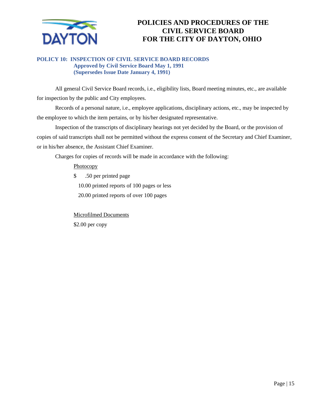

#### **POLICY 10: INSPECTION OF CIVIL SERVICE BOARD RECORDS Approved by Civil Service Board May 1, 1991 (Supersedes Issue Date January 4, 1991)**

All general Civil Service Board records, i.e., eligibility lists, Board meeting minutes, etc., are available for inspection by the public and City employees.

Records of a personal nature, i.e., employee applications, disciplinary actions, etc., may be inspected by the employee to which the item pertains, or by his/her designated representative.

Inspection of the transcripts of disciplinary hearings not yet decided by the Board, or the provision of copies of said transcripts shall not be permitted without the express consent of the Secretary and Chief Examiner, or in his/her absence, the Assistant Chief Examiner.

Charges for copies of records will be made in accordance with the following:

**Photocopy** 

\$ .50 per printed page

10.00 printed reports of 100 pages or less

20.00 printed reports of over 100 pages

Microfilmed Documents \$2.00 per copy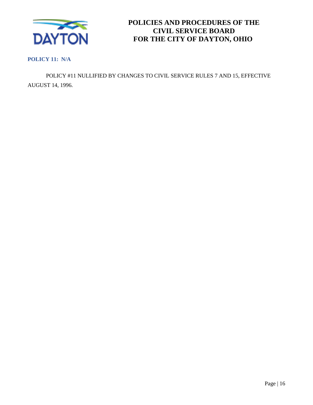

**POLICY 11: N/A**

POLICY #11 NULLIFIED BY CHANGES TO CIVIL SERVICE RULES 7 AND 15, EFFECTIVE AUGUST 14, 1996.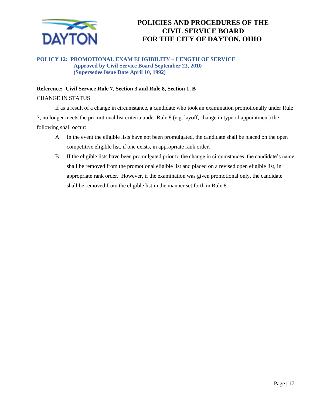

#### **POLICY 12: PROMOTIONAL EXAM ELIGIBILITY – LENGTH OF SERVICE Approved by Civil Service Board September 23, 2010 (Supersedes Issue Date April 10, 1992)**

#### **Reference: Civil Service Rule 7, Section 3 and Rule 8, Section 1, B**

#### CHANGE IN STATUS

If as a result of a change in circumstance, a candidate who took an examination promotionally under Rule 7, no longer meets the promotional list criteria under Rule 8 (e.g. layoff, change in type of appointment) the following shall occur:

- A. In the event the eligible lists have not been promulgated, the candidate shall be placed on the open competitive eligible list, if one exists, in appropriate rank order.
- B. If the eligible lists have been promulgated prior to the change in circumstances, the candidate's name shall be removed from the promotional eligible list and placed on a revised open eligible list, in appropriate rank order. However, if the examination was given promotional only, the candidate shall be removed from the eligible list in the manner set forth in Rule 8.